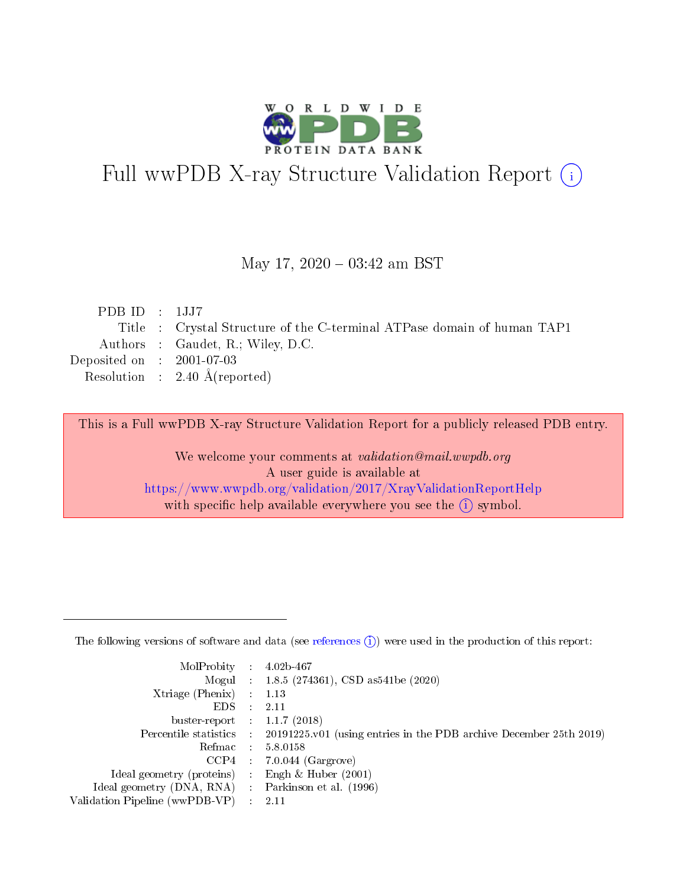

# Full wwPDB X-ray Structure Validation Report (i)

#### May 17,  $2020 - 03:42$  am BST

| PDBID : 1JJ7                |                                                                         |
|-----------------------------|-------------------------------------------------------------------------|
|                             | Title : Crystal Structure of the C-terminal ATPase domain of human TAP1 |
|                             | Authors : Gaudet, R.; Wiley, D.C.                                       |
| Deposited on : $2001-07-03$ |                                                                         |
|                             | Resolution : $2.40 \text{ Å}$ (reported)                                |
|                             |                                                                         |

This is a Full wwPDB X-ray Structure Validation Report for a publicly released PDB entry.

We welcome your comments at validation@mail.wwpdb.org A user guide is available at <https://www.wwpdb.org/validation/2017/XrayValidationReportHelp> with specific help available everywhere you see the  $(i)$  symbol.

The following versions of software and data (see [references](https://www.wwpdb.org/validation/2017/XrayValidationReportHelp#references)  $(1)$ ) were used in the production of this report:

| $MolProbability$ 4.02b-467                          |                                                                                            |
|-----------------------------------------------------|--------------------------------------------------------------------------------------------|
|                                                     | Mogul : 1.8.5 (274361), CSD as 541 be (2020)                                               |
| $Xtriangle (Phenix)$ : 1.13                         |                                                                                            |
| $EDS$ :                                             | -2.11                                                                                      |
| buster-report : $1.1.7$ (2018)                      |                                                                                            |
|                                                     | Percentile statistics : 20191225.v01 (using entries in the PDB archive December 25th 2019) |
| Refmac $5.8.0158$                                   |                                                                                            |
|                                                     | $CCP4$ 7.0.044 (Gargrove)                                                                  |
| Ideal geometry (proteins) :                         | Engh $\&$ Huber (2001)                                                                     |
| Ideal geometry (DNA, RNA) : Parkinson et al. (1996) |                                                                                            |
| Validation Pipeline (wwPDB-VP) : 2.11               |                                                                                            |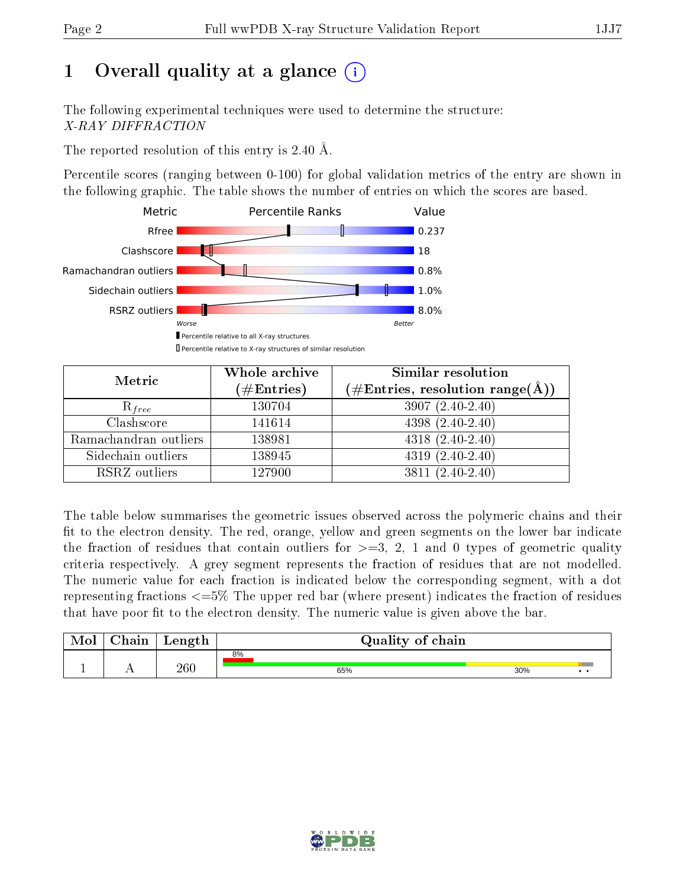# 1 [O](https://www.wwpdb.org/validation/2017/XrayValidationReportHelp#overall_quality)verall quality at a glance  $(i)$

The following experimental techniques were used to determine the structure: X-RAY DIFFRACTION

The reported resolution of this entry is 2.40 Å.

Percentile scores (ranging between 0-100) for global validation metrics of the entry are shown in the following graphic. The table shows the number of entries on which the scores are based.



| Metric                | Whole archive<br>$(\#\mathrm{Entries})$ | Similar resolution<br>$(\#\text{Entries},\,\text{resolution}\,\,\text{range}(\textup{\AA}))$ |  |  |
|-----------------------|-----------------------------------------|----------------------------------------------------------------------------------------------|--|--|
| $R_{free}$            | 130704                                  | $3907(2.40-2.40)$                                                                            |  |  |
| Clashscore            | 141614                                  | $4398(2.40-2.40)$                                                                            |  |  |
| Ramachandran outliers | 138981                                  | $4318(2.40-2.40)$                                                                            |  |  |
| Sidechain outliers    | 138945                                  | $4319(2.40-2.40)$                                                                            |  |  |
| RSRZ outliers         | 127900                                  | $3811(2.40-2.40)$                                                                            |  |  |

The table below summarises the geometric issues observed across the polymeric chains and their fit to the electron density. The red, orange, yellow and green segments on the lower bar indicate the fraction of residues that contain outliers for  $>=3, 2, 1$  and 0 types of geometric quality criteria respectively. A grey segment represents the fraction of residues that are not modelled. The numeric value for each fraction is indicated below the corresponding segment, with a dot representing fractions  $\epsilon=5\%$  The upper red bar (where present) indicates the fraction of residues that have poor fit to the electron density. The numeric value is given above the bar.

| Mol | $\gamma$ hain | Length  |    | Quality of chain |     |  |  |  |
|-----|---------------|---------|----|------------------|-----|--|--|--|
|     |               |         | 8% |                  |     |  |  |  |
|     |               | $260\,$ |    | 65%              | 30% |  |  |  |

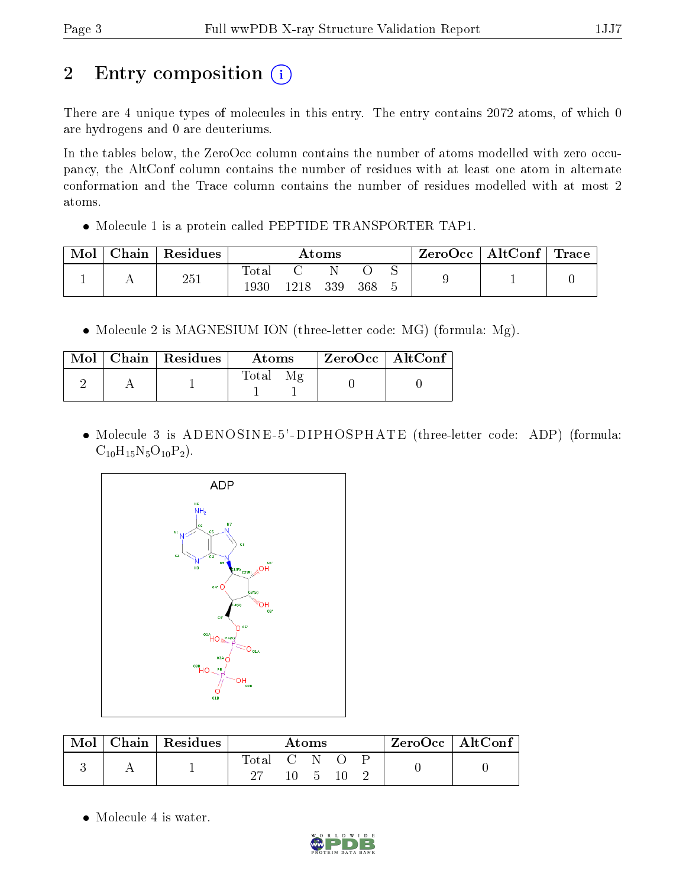# 2 Entry composition (i)

There are 4 unique types of molecules in this entry. The entry contains 2072 atoms, of which 0 are hydrogens and 0 are deuteriums.

In the tables below, the ZeroOcc column contains the number of atoms modelled with zero occupancy, the AltConf column contains the number of residues with at least one atom in alternate conformation and the Trace column contains the number of residues modelled with at most 2 atoms.

• Molecule 1 is a protein called PEPTIDE TRANSPORTER TAP1.

| Mol | Chain | Residues | Atoms            |      |     |     |  | $\rm{ZeroOcc} \mid \rm{AltConf} \mid \rm{Trace}$ |  |
|-----|-------|----------|------------------|------|-----|-----|--|--------------------------------------------------|--|
|     |       | 251      | $\mathrm{Total}$ |      |     |     |  |                                                  |  |
|     |       |          | 1930             | 1218 | 339 | 368 |  |                                                  |  |

• Molecule 2 is MAGNESIUM ION (three-letter code: MG) (formula: Mg).

|  | $Mol$   Chain   Residues | Atoms                                 | ZeroOcc   AltConf |
|--|--------------------------|---------------------------------------|-------------------|
|  |                          | $\mathbf{M}\mathbf{p}$<br>$\rm Total$ |                   |

• Molecule 3 is ADENOSINE-5'-DIPHOSPHATE (three-letter code: ADP) (formula:  $C_{10}H_{15}N_5O_{10}P_2$ .



|  | Chain   Residues | Atoms     |  |  | $ZeroOcc$   AltConf |  |
|--|------------------|-----------|--|--|---------------------|--|
|  |                  | fotal C N |  |  |                     |  |
|  |                  |           |  |  |                     |  |

• Molecule 4 is water.

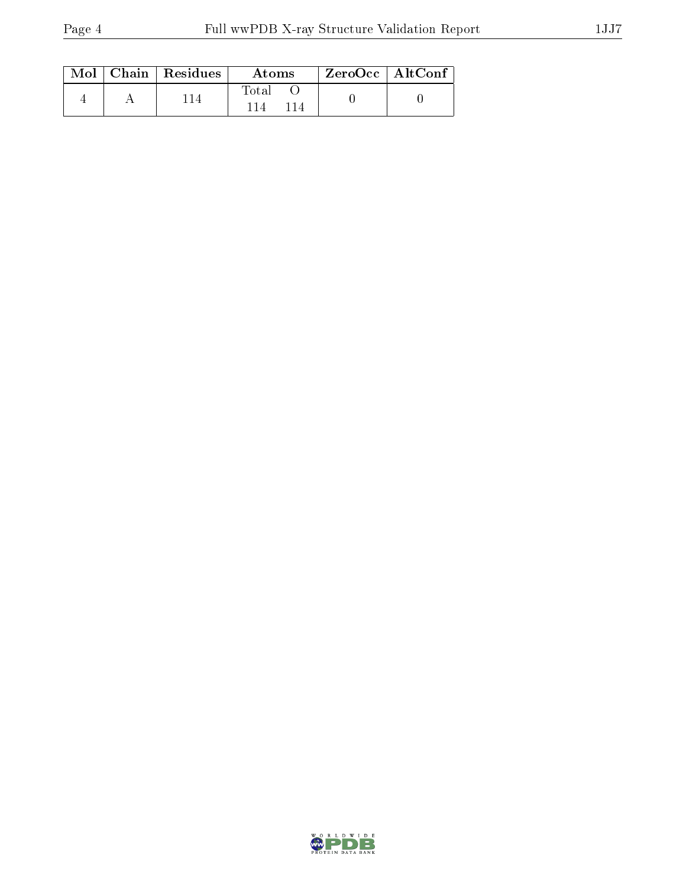|  | $Mol$   Chain   Residues | Atoms       | $\rm ZeroOcc \mid AltConf$ |  |
|--|--------------------------|-------------|----------------------------|--|
|  |                          | $\rm Total$ |                            |  |

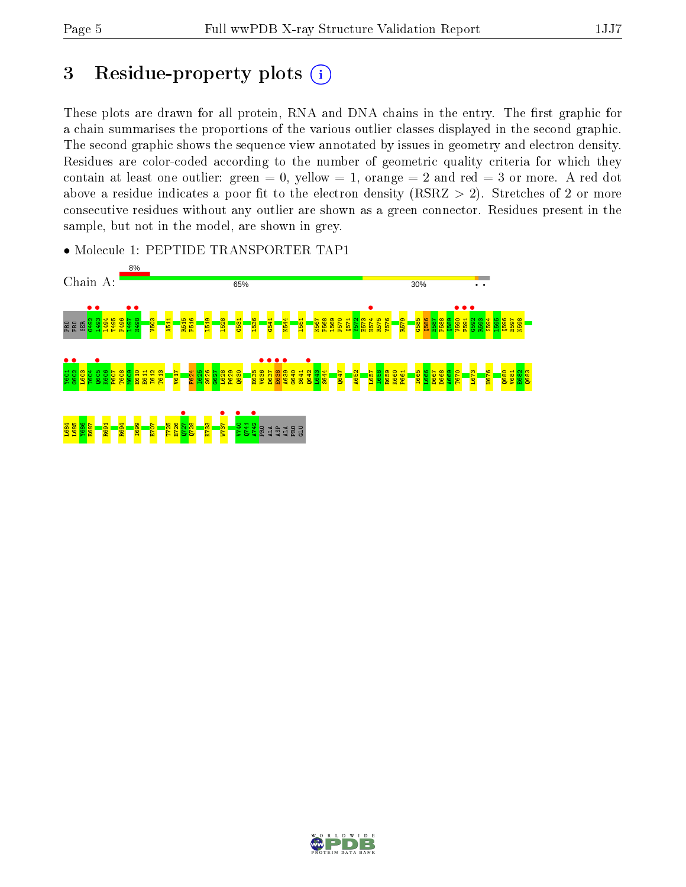# 3 Residue-property plots  $(i)$

These plots are drawn for all protein, RNA and DNA chains in the entry. The first graphic for a chain summarises the proportions of the various outlier classes displayed in the second graphic. The second graphic shows the sequence view annotated by issues in geometry and electron density. Residues are color-coded according to the number of geometric quality criteria for which they contain at least one outlier: green  $= 0$ , yellow  $= 1$ , orange  $= 2$  and red  $= 3$  or more. A red dot above a residue indicates a poor fit to the electron density (RSRZ  $> 2$ ). Stretches of 2 or more consecutive residues without any outlier are shown as a green connector. Residues present in the sample, but not in the model, are shown in grey.

- Chain A: 65% 30% L497 • • 867H  $\frac{1574}{1575}$  $\frac{1}{2}$ F591 •  $\frac{6}{1592}$ P496 V503 A511 R515 P516 L519 L528  $\frac{1531}{2}$ L536 G541 K544 L551 K567 P568 L569 P570 Q571 Y572 E573 R575 Y576 R579 G585 Q586 E587 P588  $\frac{1589}{2}$ R593 S594 L595 Q596 E597 N598 **RRE**  $\frac{1001}{1000}$  $\frac{1}{1602}$  $\frac{1}{2}$  $\frac{8}{26}$ D637 • **E**638 ●<br>भ≎39<br>भ≤30  $\frac{q}{\sqrt{2}}$ L603 T604 K606 P607 T608 M609 E610 E611 I612 T613 V617 F624 I625 S626  $530$ L628 P629 Q630 E635 G640 S641  $\frac{1}{2}$ S644 Q647 A652 L657 I658 R659 K660 P661 I665  $\frac{666}{2}$  $D667$ D668 A669 T670 L673 N676 Q680 V681 E682 Q683  $\frac{1}{27}$  $\frac{122h}{\sqrt{22h}}$  $\begin{array}{c} \bullet \\ \bullet \\ \bullet \\ \bullet \end{array}$  $\frac{1}{4742}$ L684 L685 Y686 E687 R691 R694 I699 E707 T725 H726 Q728 K733  $141$ GLUPRO ALA ASP ALA PRO
- Molecule 1: PEPTIDE TRANSPORTER TAP1

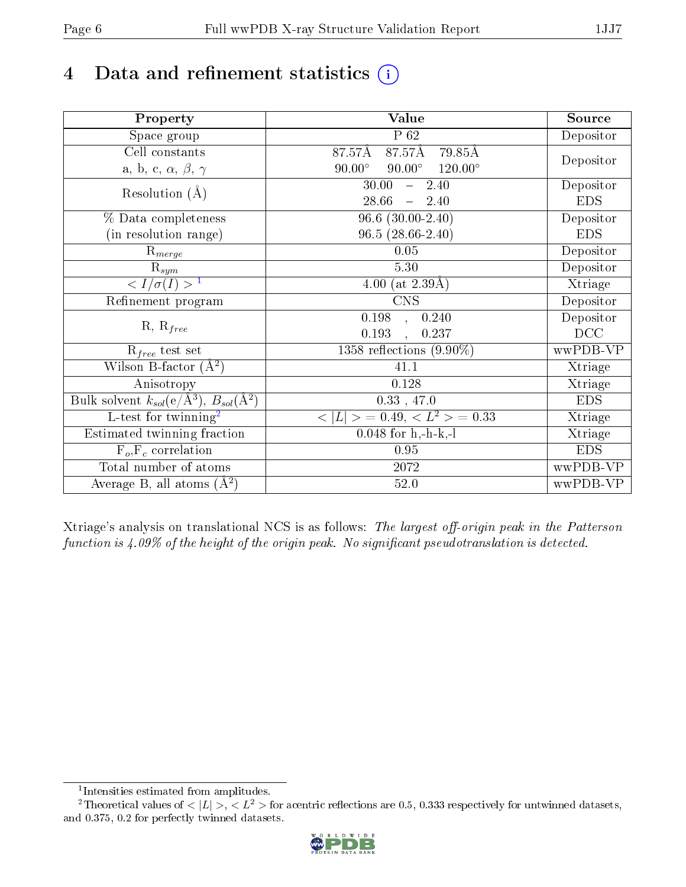# 4 Data and refinement statistics  $(i)$

| Property                                                             | <b>Value</b>                                       | Source     |
|----------------------------------------------------------------------|----------------------------------------------------|------------|
| Space group                                                          | $P_62$                                             | Depositor  |
| Cell constants                                                       | 87.57Å<br>87.57Å<br>79.85Å                         | Depositor  |
| a, b, c, $\alpha$ , $\beta$ , $\gamma$                               | $120.00^{\circ}$<br>$90.00^\circ$<br>$90.00^\circ$ |            |
| Resolution $(A)$                                                     | 30.00<br>2.40<br>$\frac{1}{2}$                     | Depositor  |
|                                                                      | 28.66<br>2.40<br>$\frac{1}{2}$                     | <b>EDS</b> |
| % Data completeness                                                  | $96.6$ $(30.00-2.40)$                              | Depositor  |
| (in resolution range)                                                | $96.5(28.66-2.40)$                                 | <b>EDS</b> |
| $R_{merge}$                                                          | 0.05                                               | Depositor  |
| $\mathrm{R}_{sym}$                                                   | 5.30                                               | Depositor  |
| $\overline{1$                                                        | 4.00 (at $2.39\text{\AA}$ )                        | Xtriage    |
| Refinement program                                                   | $\overline{\text{CNS}}$                            | Depositor  |
| $R, R_{free}$                                                        | 0.198<br>0.240<br>$\ddot{\phantom{a}}$             | Depositor  |
|                                                                      | 0.193<br>0.237                                     | DCC        |
| $R_{free}$ test set                                                  | 1358 reflections $(9.90\%)$                        | wwPDB-VP   |
| Wilson B-factor $(A^2)$                                              | 41.1                                               | Xtriage    |
| Anisotropy                                                           | 0.128                                              | Xtriage    |
| Bulk solvent $k_{sol}(e/\mathring{A}^3)$ , $B_{sol}(\mathring{A}^2)$ | $0.33$ , 47.0                                      | <b>EDS</b> |
| $\overline{L-test for }$ twinning <sup>2</sup>                       | $>$ = 0.49, < $L^2$ > = 0.33<br>< L                | Xtriage    |
| Estimated twinning fraction                                          | $0.048$ for h,-h-k,-l                              | Xtriage    |
| $F_o, F_c$ correlation                                               | 0.95                                               | <b>EDS</b> |
| Total number of atoms                                                | $20\,72$                                           | wwPDB-VP   |
| Average B, all atoms $(A^2)$                                         | 52.0                                               | wwPDB-VP   |

Xtriage's analysis on translational NCS is as follows: The largest off-origin peak in the Patterson function is  $4.09\%$  of the height of the origin peak. No significant pseudotranslation is detected.

<sup>&</sup>lt;sup>2</sup>Theoretical values of  $\langle |L| \rangle$ ,  $\langle L^2 \rangle$  for acentric reflections are 0.5, 0.333 respectively for untwinned datasets, and 0.375, 0.2 for perfectly twinned datasets.



<span id="page-5-1"></span><span id="page-5-0"></span><sup>1</sup> Intensities estimated from amplitudes.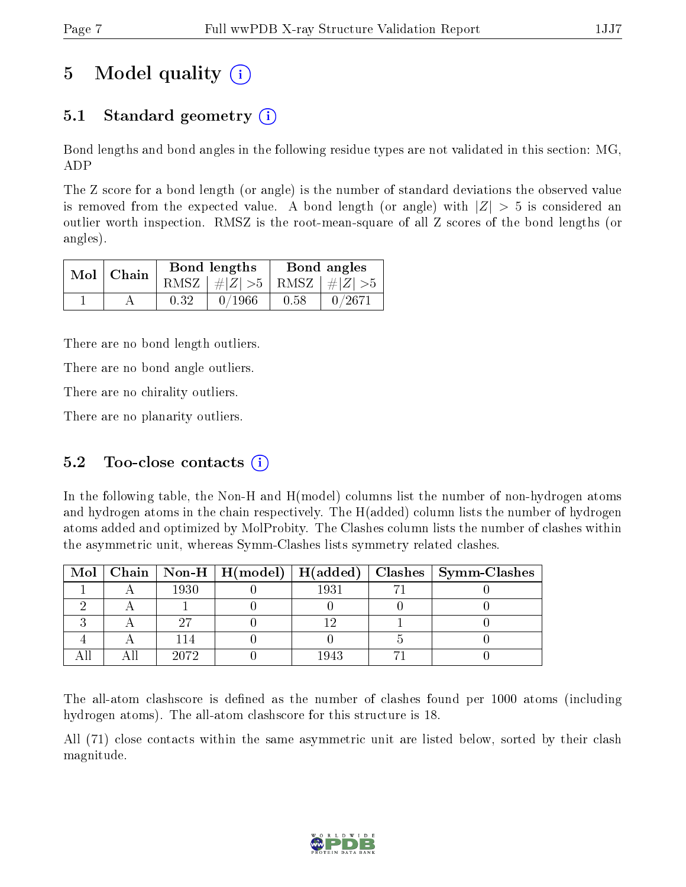# 5 Model quality  $(i)$

## 5.1 Standard geometry  $(i)$

Bond lengths and bond angles in the following residue types are not validated in this section: MG, ADP

The Z score for a bond length (or angle) is the number of standard deviations the observed value is removed from the expected value. A bond length (or angle) with  $|Z| > 5$  is considered an outlier worth inspection. RMSZ is the root-mean-square of all Z scores of the bond lengths (or angles).

|  | $Mol$   Chain |      | Bond lengths                    | Bond angles |           |  |
|--|---------------|------|---------------------------------|-------------|-----------|--|
|  |               |      | RMSZ $ #Z  > 5$ RMSZ $ #Z  > 5$ |             |           |  |
|  |               | 0.32 | 0/1966                          | 0.58        | $-0/2671$ |  |

There are no bond length outliers.

There are no bond angle outliers.

There are no chirality outliers.

There are no planarity outliers.

### 5.2 Too-close contacts  $(i)$

In the following table, the Non-H and H(model) columns list the number of non-hydrogen atoms and hydrogen atoms in the chain respectively. The H(added) column lists the number of hydrogen atoms added and optimized by MolProbity. The Clashes column lists the number of clashes within the asymmetric unit, whereas Symm-Clashes lists symmetry related clashes.

|  |      |      | Mol   Chain   Non-H   H(model)   H(added)   Clashes   Symm-Clashes |
|--|------|------|--------------------------------------------------------------------|
|  | 1930 | 1931 |                                                                    |
|  |      |      |                                                                    |
|  |      |      |                                                                    |
|  |      |      |                                                                    |
|  | 2072 | 1943 |                                                                    |

The all-atom clashscore is defined as the number of clashes found per 1000 atoms (including hydrogen atoms). The all-atom clashscore for this structure is 18.

All (71) close contacts within the same asymmetric unit are listed below, sorted by their clash magnitude.

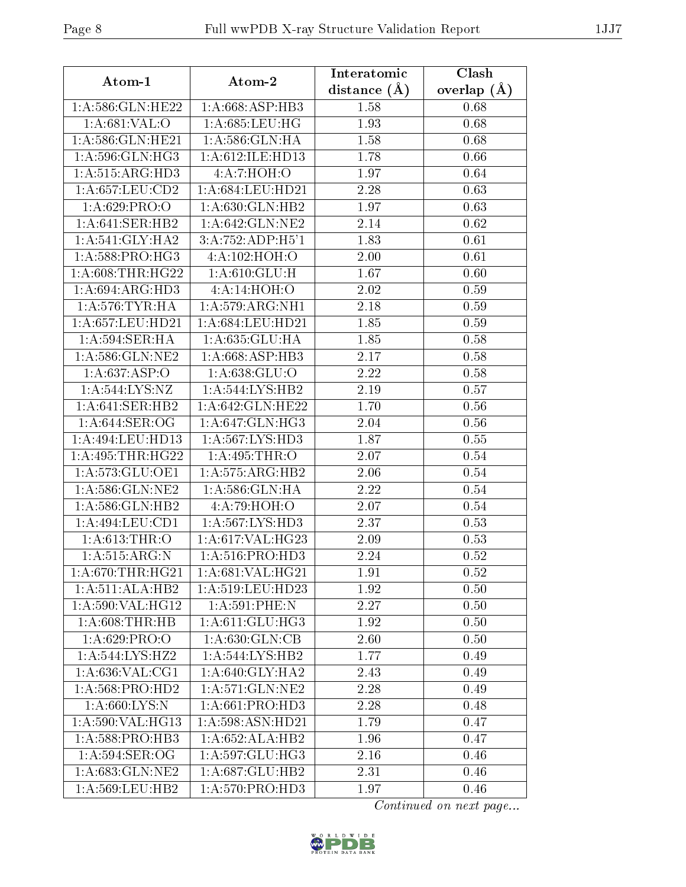| Atom-1             | Atom-2                         | Interatomic    | Clash         |  |
|--------------------|--------------------------------|----------------|---------------|--|
|                    |                                | distance $(A)$ | overlap $(A)$ |  |
| 1:A:586:GLN:HE22   | 1: A:668: ASP:HB3              | 1.58           | 0.68          |  |
| 1:A:681:VAL:O      | 1:A:685:LEU:HG                 | 1.93           | 0.68          |  |
| 1:A:586:GLN:HE21   | 1:A:586:GLN:HA                 | 1.58           | 0.68          |  |
| 1:A:596:GLN:HG3    | 1:A:612:ILE:HD13               | 1.78           | 0.66          |  |
| 1: A:515: ARG:HD3  | 4:A:7:HOH:O                    | 1.97           | 0.64          |  |
| 1: A:657:LEU:CD2   | 1:A:684:LEU:HD21               | 2.28           | 0.63          |  |
| 1: A:629: PRO:     | 1: A:630: GLN: HB2             | 1.97           | 0.63          |  |
| 1: A:641: SER: HB2 | $1: A:642: \overline{GLN:NE2}$ | 2.14           | 0.62          |  |
| 1: A:541: GLY:HA2  | 3:A:752:ADP:H5'1               | 1.83           | 0.61          |  |
| 1: A:588: PRO:HG3  | 4:A:102:HOH:O                  | 2.00           | 0.61          |  |
| 1: A:608:THR:HG22  | 1: A:610: GLU: H               | 1.67           | 0.60          |  |
| 1: A:694: ARG:HD3  | 4:A:14:HOH:O                   | 2.02           | 0.59          |  |
| 1: A:576:TYR:HA    | 1:A:579:ARG:NH1                | 2.18           | 0.59          |  |
| 1:A:657:LEU:HD21   | 1:A:684:LEU:HD21               | 1.85           | 0.59          |  |
| 1: A:594:SER:HA    | 1:A:635:GLU:HA                 | 1.85           | 0.58          |  |
| 1: A:586: GLN: NE2 | 1: A:668: ASP:HB3              | 2.17           | $0.58\,$      |  |
| 1:A:637:ASP:O      | 1: A:638: GLU:O                | 2.22           | 0.58          |  |
| 1:A:544:LYS:NZ     | 1:A:544:LYS:HB2                | 2.19           | $0.57\,$      |  |
| 1: A:641:SER:HB2   | 1:A:642:GLN:HE22               | 1.70           | 0.56          |  |
| 1: A:644: SER:OG   | 1: A:647: GLN: HG3             | 2.04           | 0.56          |  |
| 1:A:494:LEU:HD13   | 1:A:567:LYS:HD3                | 1.87           | 0.55          |  |
| 1:A:495:THR:HG22   | 1:A:495:THR:O                  | 2.07           | 0.54          |  |
| 1:A:573:GLU:OE1    | 1: A: 575: ARG: HB2            | 2.06           | 0.54          |  |
| 1:A:586:GLN:NE2    | 1:A:586:GLN:HA                 | 2.22           | 0.54          |  |
| 1:A:586:GLN:HB2    | 4:A:79:HOH:O                   | 2.07           | 0.54          |  |
| 1:A:494:LEU:CD1    | 1: A:567: LYS: HD3             | 2.37           | 0.53          |  |
| 1: A:613:THR:O     | 1: A:617: VAL:HG23             | 2.09           | 0.53          |  |
| 1: A: 515: ARG: N  | 1: A:516: PRO:HD3              | 2.24           | 0.52          |  |
| 1: A:670:THR:HG21  | 1: A:681:VAL:HG21              | 1.91           | 0.52          |  |
| 1:A:511:ALA:HB2    | 1:A:519:LEU:HD23               | 1.92           | 0.50          |  |
| 1: A:590: VAL:HG12 | 1: A:591:PHE:N                 | 2.27           | 0.50          |  |
| 1: A:608:THR:HB    | 1:A:611:GLU:HG3                | 1.92           | 0.50          |  |
| 1: A:629: PRO:O    | 1: A:630: GLN:CB               | 2.60           | 0.50          |  |
| 1:A:544:LYS:HZ2    | 1:A:544:LYS:HB2                | 1.77           | 0.49          |  |
| 1: A:636: VAL:CG1  | 1: A:640: GLY:HA2              | 2.43           | 0.49          |  |
| 1:A:568:PRO:HD2    | 1: A:571: GLN:NE2              | 2.28           | 0.49          |  |
| 1: A:660:LYS:N     | $1:A:661:PR\overline{O:HD3}$   | 2.28           | 0.48          |  |
| 1:A:590:VAL:HG13   | 1:A:598:ASN:HD21               | 1.79           | 0.47          |  |
| 1: A:588: PRO:HB3  | 1: A:652: ALA:HB2              | 1.96           | 0.47          |  |
| 1: A:594:SER:OG    | 1:A:597:GLU:HG3                | 2.16           | 0.46          |  |
| 1:A:683:GLN:NE2    | 1:A:687:GLU:HB2                | 2.31           | 0.46          |  |
| 1:A:569:LEU:HB2    | 1:A:570:PRO:H <sub>D3</sub>    | 1.97           | 0.46          |  |

Continued on next page...

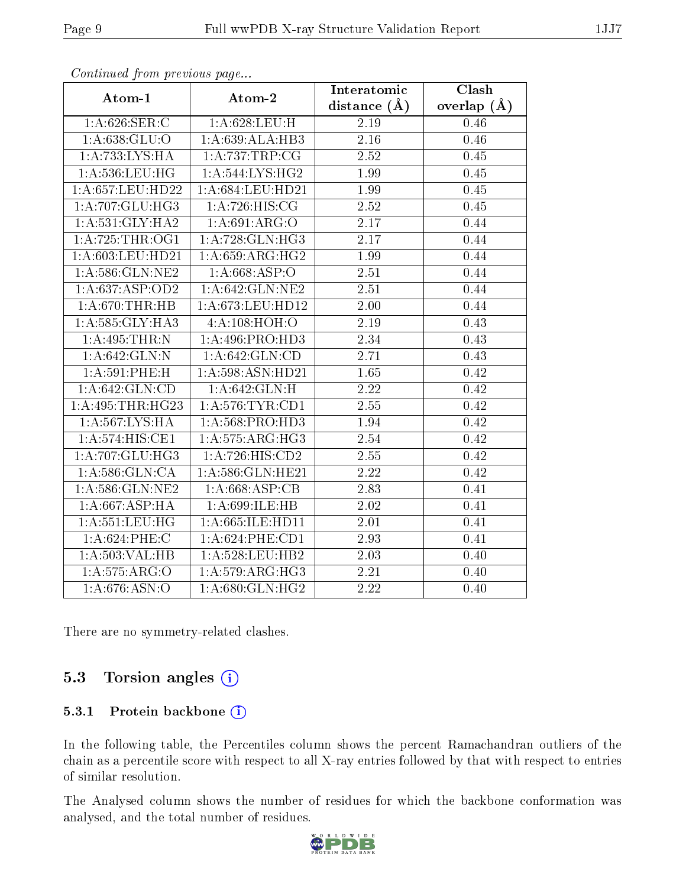|                                                     |                    | Interatomic      | Clash         |
|-----------------------------------------------------|--------------------|------------------|---------------|
| Atom-1                                              | Atom-2             | distance $(\AA)$ | overlap $(A)$ |
| 1: A:626: SER:C                                     | 1: A:628:LEU:H     | 2.19             | 0.46          |
| 1: A.638: GLU:O                                     | 1:A:639:ALA:HB3    | 2.16             | 0.46          |
| 1:A:733:LYS:HA                                      | 1:A:737:TRP:CG     | 2.52             | 0.45          |
| 1:A:536:LEU:HG                                      | 1:A:544:LYS:HG2    | 1.99             | 0.45          |
| 1: A:657:LEU:HD22                                   | 1:A:684:LEU:HD21   | 1.99             | 0.45          |
| $1:A:707:GLU:\overline{HG3}$                        | 1: A:726: HIS: CG  | 2.52             | 0.45          |
| 1:A:531:GLY:HA2                                     | 1: A:691: ARG:O    | 2.17             | 0.44          |
| 1: A:725:THR:OG1                                    | 1: A:728: GLN: HG3 | 2.17             | 0.44          |
| 1: A:603: LEU:HD21                                  | 1:A:659:ARG:HG2    | 1.99             | 0.44          |
| 1:A:586:GLN:NE2                                     | 1: A:668:ASP:O     | 2.51             | 0.44          |
| 1:A:637:ASP:OD2                                     | 1: A:642: GLN:NE2  | 2.51             | 0.44          |
| 1: A:670:THR:HB                                     | 1:A:673:LEU:HD12   | 2.00             | 0.44          |
| 1: A: 585: GLY: HA3                                 | 4:A:108:HOH:O      | $2.19\,$         | 0.43          |
| 1:A:495:THR:N                                       | 1: A:496: PRO:HD3  | 2.34             | 0.43          |
| 1: A:642: GLN:N                                     | 1: A:642: GLN:CD   | 2.71             | 0.43          |
| $1: A:591:$ PHE:H                                   | 1:A:598:ASN:HD21   | 1.65             | 0.42          |
| 1: A:642: GLN:CD                                    | 1: A:642: GLN:H    | 2.22             | 0.42          |
| $1:\overline{A}:495:\overline{THR}:\overline{H}G23$ | 1: A:576:TYR:CD1   | 2.55             | 0.42          |
| 1:A:567:LYS:HA                                      | 1: A:568: PRO:HD3  | 1.94             | 0.42          |
| 1:A:574:HIS:CE1                                     | 1:A:575:ARG:HG3    | 2.54             | 0.42          |
| 1: A:707: GLU:HG3                                   | 1: A:726: HIS: CD2 | 2.55             | 0.42          |
| 1: A:586: GLN:CA                                    | 1:A:586:GLN:HE21   | 2.22             | 0.42          |
| 1: A:586: GLN:NE2                                   | 1:A:668:ASP:CB     | 2.83             | 0.41          |
| 1:A:667:ASP:HA                                      | 1:A:699:ILE:HB     | 2.02             | 0.41          |
| 1: A: 551: LEU: HG                                  | 1:A:665:ILE:HD11   | 2.01             | 0.41          |
| 1:A:624:PHE:C                                       | 1: A:624:PHE:CD1   | 2.93             | 0.41          |
| 1: A: 503: VAL: HB                                  | 1: A:528:LEU:HB2   | 2.03             | 0.40          |
| 1: A:575: ARG:O                                     | 1:A:579:ARG:HG3    | 2.21             | 0.40          |
| $1:A.\overline{676:ASN:O}$                          | 1: A:680: GLN: HG2 | 2.22             | 0.40          |

Continued from previous page...

There are no symmetry-related clashes.

### 5.3 Torsion angles (i)

#### 5.3.1 Protein backbone (i)

In the following table, the Percentiles column shows the percent Ramachandran outliers of the chain as a percentile score with respect to all X-ray entries followed by that with respect to entries of similar resolution.

The Analysed column shows the number of residues for which the backbone conformation was analysed, and the total number of residues.

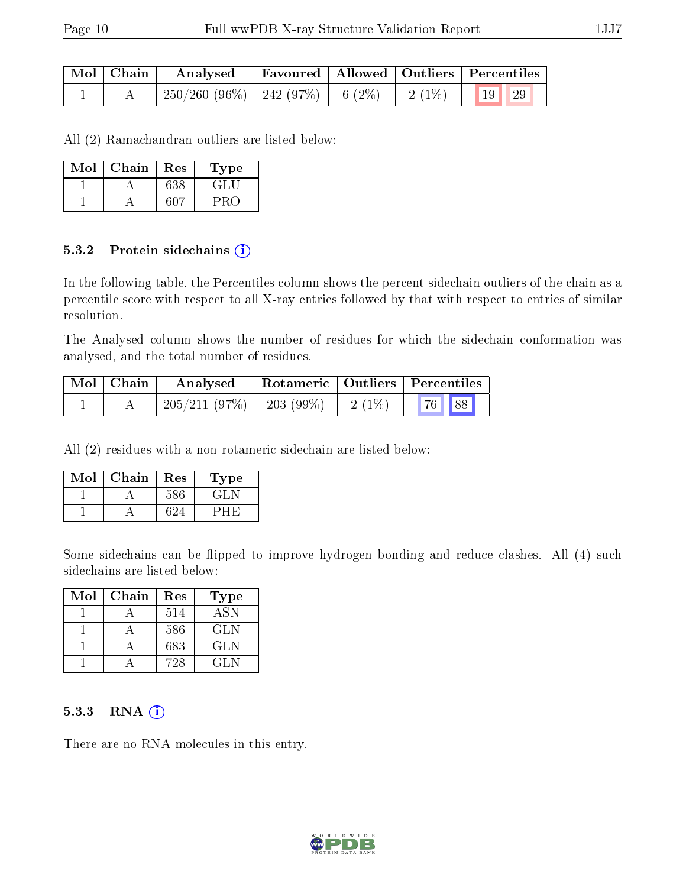| Mol   Chain | Analysed                                | Favoured   Allowed   Outliers   Percentiles |                                                                                  |  |
|-------------|-----------------------------------------|---------------------------------------------|----------------------------------------------------------------------------------|--|
|             | $250/260$ (96\%)   242 (97\%)   6 (2\%) |                                             | $\begin{array}{ c c c c c c c c } \hline 2 & 1\% & 19 & 29 \ \hline \end{array}$ |  |

All (2) Ramachandran outliers are listed below:

| Mol | Chain | Res | Type |
|-----|-------|-----|------|
|     |       | 638 | GLI  |
|     |       | 607 |      |

#### 5.3.2 Protein sidechains (i)

In the following table, the Percentiles column shows the percent sidechain outliers of the chain as a percentile score with respect to all X-ray entries followed by that with respect to entries of similar resolution.

The Analysed column shows the number of residues for which the sidechain conformation was analysed, and the total number of residues.

| Mol   Chain | Analysed     |            |           | Rotameric   Outliers   Percentiles |  |
|-------------|--------------|------------|-----------|------------------------------------|--|
|             | 205/211(97%) | 203 (99\%) | $12(1\%)$ | 76 88                              |  |

All (2) residues with a non-rotameric sidechain are listed below:

| Mol | Chain | Res | Type |
|-----|-------|-----|------|
|     |       | 586 | en   |
|     |       |     |      |

Some sidechains can be flipped to improve hydrogen bonding and reduce clashes. All (4) such sidechains are listed below:

| Mol | Chain | Res | Type       |
|-----|-------|-----|------------|
|     |       | 514 | <b>ASN</b> |
|     |       | 586 | GLN.       |
|     |       | 683 | GLN        |
|     |       | 728 | GL N       |

#### $5.3.3$  RNA  $(i)$

There are no RNA molecules in this entry.

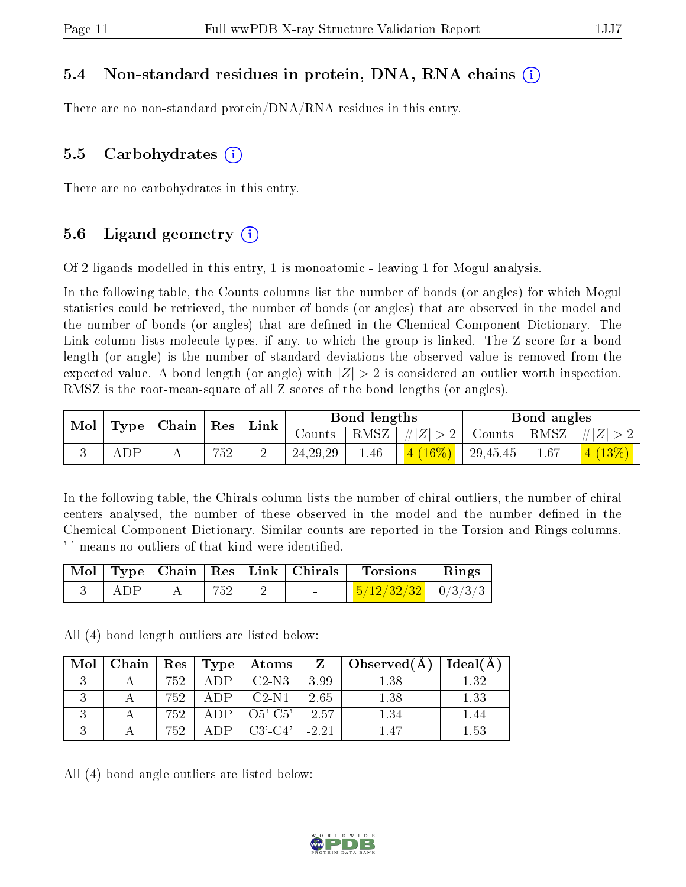#### 5.4 Non-standard residues in protein, DNA, RNA chains (i)

There are no non-standard protein/DNA/RNA residues in this entry.

#### 5.5 Carbohydrates  $(i)$

There are no carbohydrates in this entry.

### 5.6 Ligand geometry  $(i)$

Of 2 ligands modelled in this entry, 1 is monoatomic - leaving 1 for Mogul analysis.

In the following table, the Counts columns list the number of bonds (or angles) for which Mogul statistics could be retrieved, the number of bonds (or angles) that are observed in the model and the number of bonds (or angles) that are dened in the Chemical Component Dictionary. The Link column lists molecule types, if any, to which the group is linked. The Z score for a bond length (or angle) is the number of standard deviations the observed value is removed from the expected value. A bond length (or angle) with  $|Z| > 2$  is considered an outlier worth inspection. RMSZ is the root-mean-square of all Z scores of the bond lengths (or angles).

| $\mathbf{Mod}_{\perp}$ | $\mid$ Type $\mid$ Chain $\mid$ Res $\mid$ Link |     |            | Bond lengths |                                 |          | Bond angles |                                                        |
|------------------------|-------------------------------------------------|-----|------------|--------------|---------------------------------|----------|-------------|--------------------------------------------------------|
|                        |                                                 |     |            |              | Counts   RMSZ $\mid \#  Z  > 2$ |          |             | $\vert$ Counts $\vert$ RMSZ $\vert \#  Z  > 2$ $\vert$ |
|                        | ADP                                             | 752 | 24, 29, 29 | 1.46         | $(4 (16\%)$                     | 29,45,45 | 1.67        | $\vert 4 \ (13\%) \ \vert$                             |

In the following table, the Chirals column lists the number of chiral outliers, the number of chiral centers analysed, the number of these observed in the model and the number defined in the Chemical Component Dictionary. Similar counts are reported in the Torsion and Rings columns. '-' means no outliers of that kind were identified.

|     |     | Mol   Type   Chain   Res   Link   Chirals | <b>Torsions</b>                       | $\parallel$ Rings |
|-----|-----|-------------------------------------------|---------------------------------------|-------------------|
| ADP | 752 |                                           | $\frac{5}{12}\frac{32}{32}$   0/3/3/3 |                   |

All (4) bond length outliers are listed below:

|  |        |              | Mol   Chain   Res   Type   Atoms            |      | $Z \parallel Observed(A) \parallel$ | $\perp$ Ideal(A) $\perp$ |
|--|--------|--------------|---------------------------------------------|------|-------------------------------------|--------------------------|
|  | 752.   |              | $ADP \perp C2-N3$                           | 3.99 | 1.38                                | 1.32                     |
|  | 752    | $\Delta$ DP. | $\left\vert$ C <sub>2</sub> -N <sub>1</sub> | 2.65 | 1.38                                | 1.33                     |
|  | 752    |              | ADP $\vert$ O5'-C5' $\vert$ -2.57           |      | 1.34                                |                          |
|  | -752 - | A DP –       | $C3'$ - $C4'$   -2.21                       |      | 147                                 | 1.53                     |

All (4) bond angle outliers are listed below:

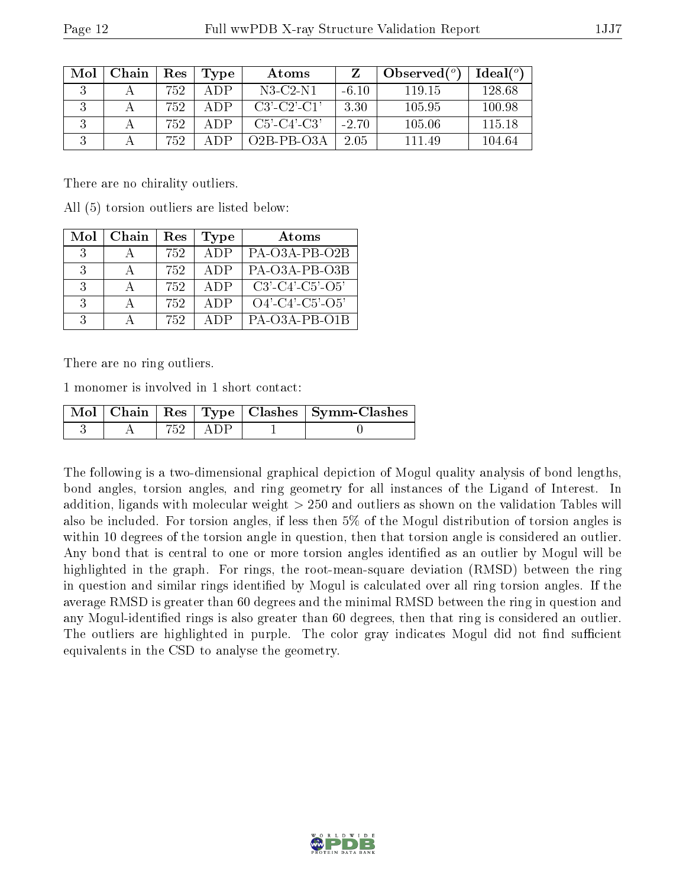| Mol | Chain | Res | Type | Atoms                 |         | Observed $(°)$ | Ideal $(°)$ |
|-----|-------|-----|------|-----------------------|---------|----------------|-------------|
|     |       | 752 | A DP | $N3$ -C2-N1           | $-6.10$ | 119.15         | 128.68      |
|     |       | 752 | A DP | $C3'$ - $C2'$ - $C1'$ | 3.30    | 105.95         | 100.98      |
|     |       | 752 | A DP | $C5'$ - $C4'$ - $C3'$ | $-2.70$ | 105.06         | 115 18      |
|     |       | 752 | A DP | $O2B-PB-O3A$          | 2.05    | 111 49         | 104.64      |

There are no chirality outliers.

All (5) torsion outliers are listed below:

| Mol | Chain | $\operatorname{Res}% \left( \mathcal{N}\right) \equiv\operatorname{Res}(\mathcal{N}_{0})\cap\mathcal{N}_{1}$ | <b>Type</b> | Atoms                         |
|-----|-------|--------------------------------------------------------------------------------------------------------------|-------------|-------------------------------|
| 3   |       | 752.                                                                                                         | ADP         | PA-O3A-PB-O2B                 |
| 3   |       | 752                                                                                                          | ADP         | PA-O3A-PB-O3B                 |
| 3   |       | 752                                                                                                          | ADP         | $C3'$ - $C4'$ - $C5'$ - $O5'$ |
| 3   |       | 752                                                                                                          | ADP         | $O4'-C4'-C5'-O5'$             |
| ર   |       | 752                                                                                                          | A DP        | PA-O3A-PB-O1B                 |

There are no ring outliers.

1 monomer is involved in 1 short contact:

|  |  | $\sqrt{\text{Mol} + \text{Chain}} + \text{Res} + \text{Type} + \text{Class} + \text{Symm-Class}$ |
|--|--|--------------------------------------------------------------------------------------------------|
|  |  |                                                                                                  |

The following is a two-dimensional graphical depiction of Mogul quality analysis of bond lengths, bond angles, torsion angles, and ring geometry for all instances of the Ligand of Interest. In addition, ligands with molecular weight > 250 and outliers as shown on the validation Tables will also be included. For torsion angles, if less then 5% of the Mogul distribution of torsion angles is within 10 degrees of the torsion angle in question, then that torsion angle is considered an outlier. Any bond that is central to one or more torsion angles identified as an outlier by Mogul will be highlighted in the graph. For rings, the root-mean-square deviation (RMSD) between the ring in question and similar rings identified by Mogul is calculated over all ring torsion angles. If the average RMSD is greater than 60 degrees and the minimal RMSD between the ring in question and any Mogul-identified rings is also greater than 60 degrees, then that ring is considered an outlier. The outliers are highlighted in purple. The color gray indicates Mogul did not find sufficient equivalents in the CSD to analyse the geometry.

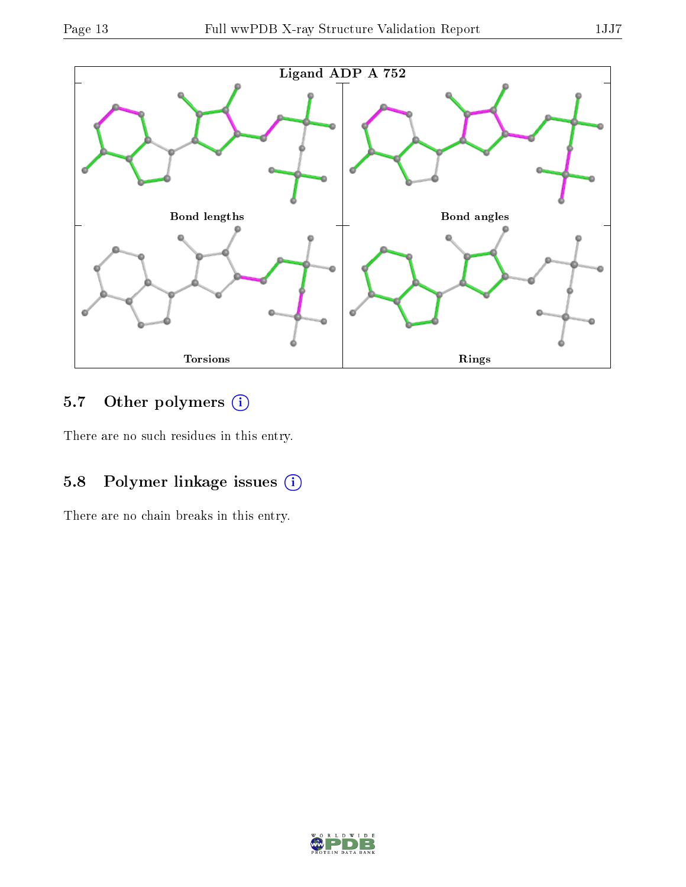

## 5.7 [O](https://www.wwpdb.org/validation/2017/XrayValidationReportHelp#nonstandard_residues_and_ligands)ther polymers (i)

There are no such residues in this entry.

### 5.8 Polymer linkage issues (i)

There are no chain breaks in this entry.

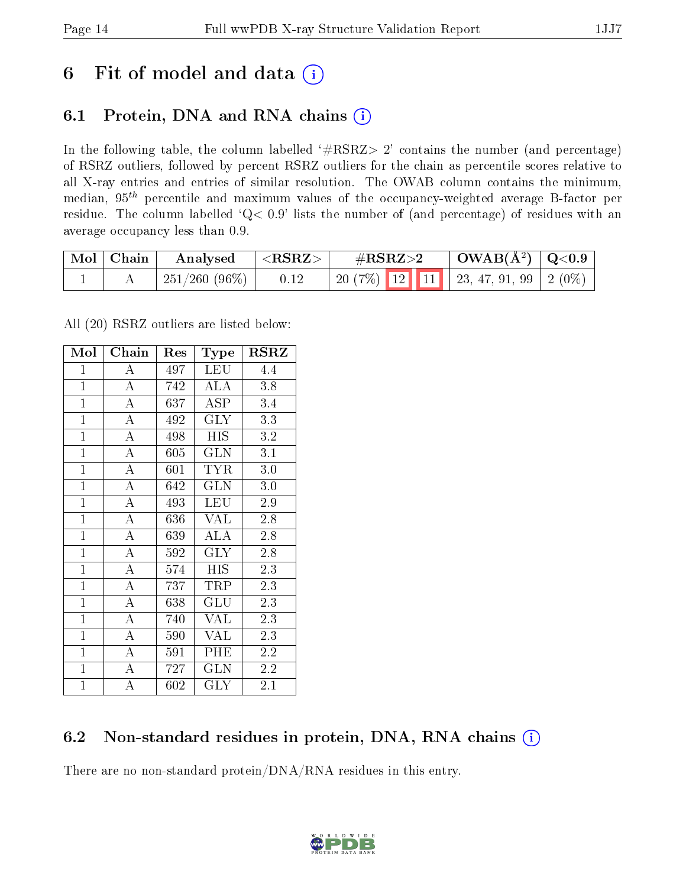## 6 Fit of model and data  $(i)$

### 6.1 Protein, DNA and RNA chains  $(i)$

In the following table, the column labelled  $#RSRZ> 2'$  contains the number (and percentage) of RSRZ outliers, followed by percent RSRZ outliers for the chain as percentile scores relative to all X-ray entries and entries of similar resolution. The OWAB column contains the minimum, median,  $95<sup>th</sup>$  percentile and maximum values of the occupancy-weighted average B-factor per residue. The column labelled ' $Q< 0.9$ ' lists the number of (and percentage) of residues with an average occupancy less than 0.9.

| $\mid$ Mol $\mid$ Chain | Analysed             | $\Delta < \mathrm{RSRZ} > 0$ | $\#\text{RSRZ}\text{>2}$            | $\mid$ OWAB(Å <sup>2</sup> ) $\mid$ Q<0.9 |  |
|-------------------------|----------------------|------------------------------|-------------------------------------|-------------------------------------------|--|
|                         | $\mid$ 251/260 (96%) | 0.12                         | 20 (7%) 12 11 23, 47, 91, 99 2 (0%) |                                           |  |

All (20) RSRZ outliers are listed below:

| Mol            | Chain              | Res | <b>Type</b>               | RSRZ             |
|----------------|--------------------|-----|---------------------------|------------------|
| $\mathbf{1}$   | А                  | 497 | <b>LEU</b>                | 4.4              |
| $\mathbf{1}$   | $\overline{A}$     | 742 | <b>ALA</b>                | 3.8              |
| $\mathbf{1}$   | $\overline{\rm A}$ | 637 | ASP                       | 3.4              |
| $\mathbf{1}$   | $\overline{A}$     | 492 | <b>GLY</b>                | 3.3              |
| $\mathbf{1}$   | $\overline{\rm A}$ | 498 | $\overline{HIS}$          | $\overline{3.2}$ |
| $\mathbf{1}$   | $\bf{A}$           | 605 | <b>GLN</b>                | 3.1              |
| $\mathbf{1}$   | $\bf{A}$           | 601 | <b>TYR</b>                | 3.0              |
| $\overline{1}$ | $\overline{A}$     | 642 | <b>GLN</b>                | 3.0              |
| $\mathbf{1}$   | $\overline{A}$     | 493 | <b>LEU</b>                | 2.9              |
| $\mathbf{1}$   | $\overline{A}$     | 636 | <b>VAL</b>                | 2.8              |
| $\mathbf{1}$   | $\overline{A}$     | 639 | ALA                       | 2.8              |
| $\mathbf{1}$   | $\overline{\rm A}$ | 592 | $\rm GLY$                 | 2.8              |
| $\overline{1}$ | $\overline{A}$     | 574 | <b>HIS</b>                | 2.3              |
| $\mathbf{1}$   | $\overline{\rm A}$ | 737 | TRP                       | 2.3              |
| $\overline{1}$ | $\overline{\rm A}$ | 638 | $\overline{\mathrm{GLU}}$ | 2.3              |
| $\mathbf{1}$   | $\bf{A}$           | 740 | <b>VAL</b>                | 2.3              |
| $\overline{1}$ | $\overline{\rm A}$ | 590 | <b>VAL</b>                | 2.3              |
| $\mathbf{1}$   | $\bf{A}$           | 591 | PHE                       | 2.2              |
| $\mathbf{1}$   | $\overline{\rm A}$ | 727 | <b>GLN</b>                | 2.2              |
| $\mathbf{1}$   | $\overline{\rm A}$ | 602 | $\rm GLY$                 | 2.1              |

### 6.2 Non-standard residues in protein, DNA, RNA chains (i)

There are no non-standard protein/DNA/RNA residues in this entry.

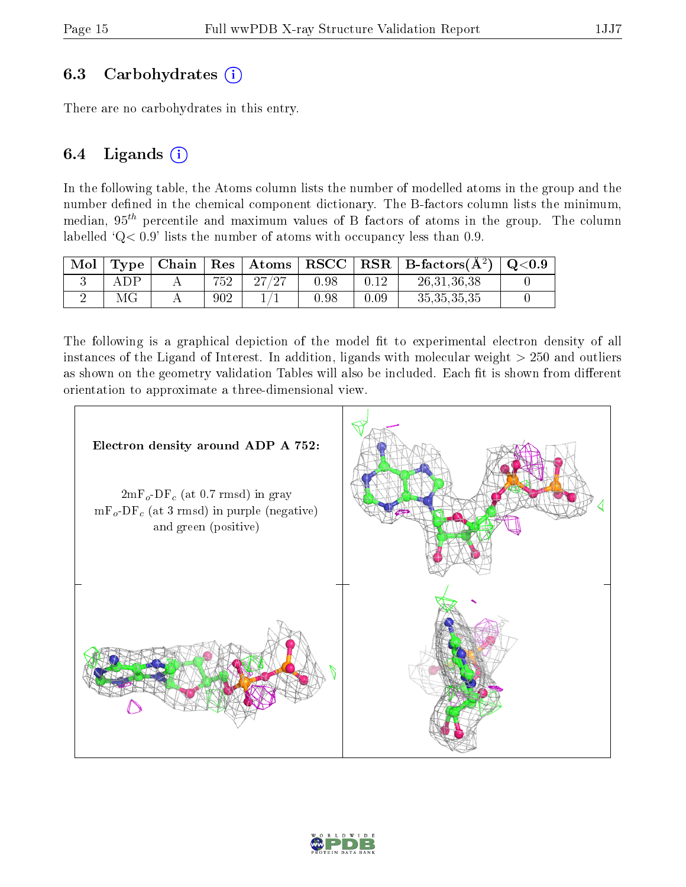#### 6.3 Carbohydrates  $(i)$

There are no carbohydrates in this entry.

#### 6.4 Ligands  $(i)$

In the following table, the Atoms column lists the number of modelled atoms in the group and the number defined in the chemical component dictionary. The B-factors column lists the minimum, median,  $95<sup>th</sup>$  percentile and maximum values of B factors of atoms in the group. The column labelled  $Q < 0.9$ ' lists the number of atoms with occupancy less than 0.9.

| Mol |     | Type   Chain | $\mid$ Res $\mid$ | $\mid$ Atoms | RSCC |          | $\mid$ RSR $\mid$ B-factors( $\rm \AA^2) \mid Q\text{<}0.9$ |  |
|-----|-----|--------------|-------------------|--------------|------|----------|-------------------------------------------------------------|--|
|     | ADP |              | 752               | 27/27        | 0.98 | 0.12     | 26, 31, 36, 38                                              |  |
|     | МG  |              | 902               |              | 0.98 | $0.09\,$ | 35, 35, 35, 35                                              |  |

The following is a graphical depiction of the model fit to experimental electron density of all instances of the Ligand of Interest. In addition, ligands with molecular weight  $> 250$  and outliers as shown on the geometry validation Tables will also be included. Each fit is shown from different orientation to approximate a three-dimensional view.